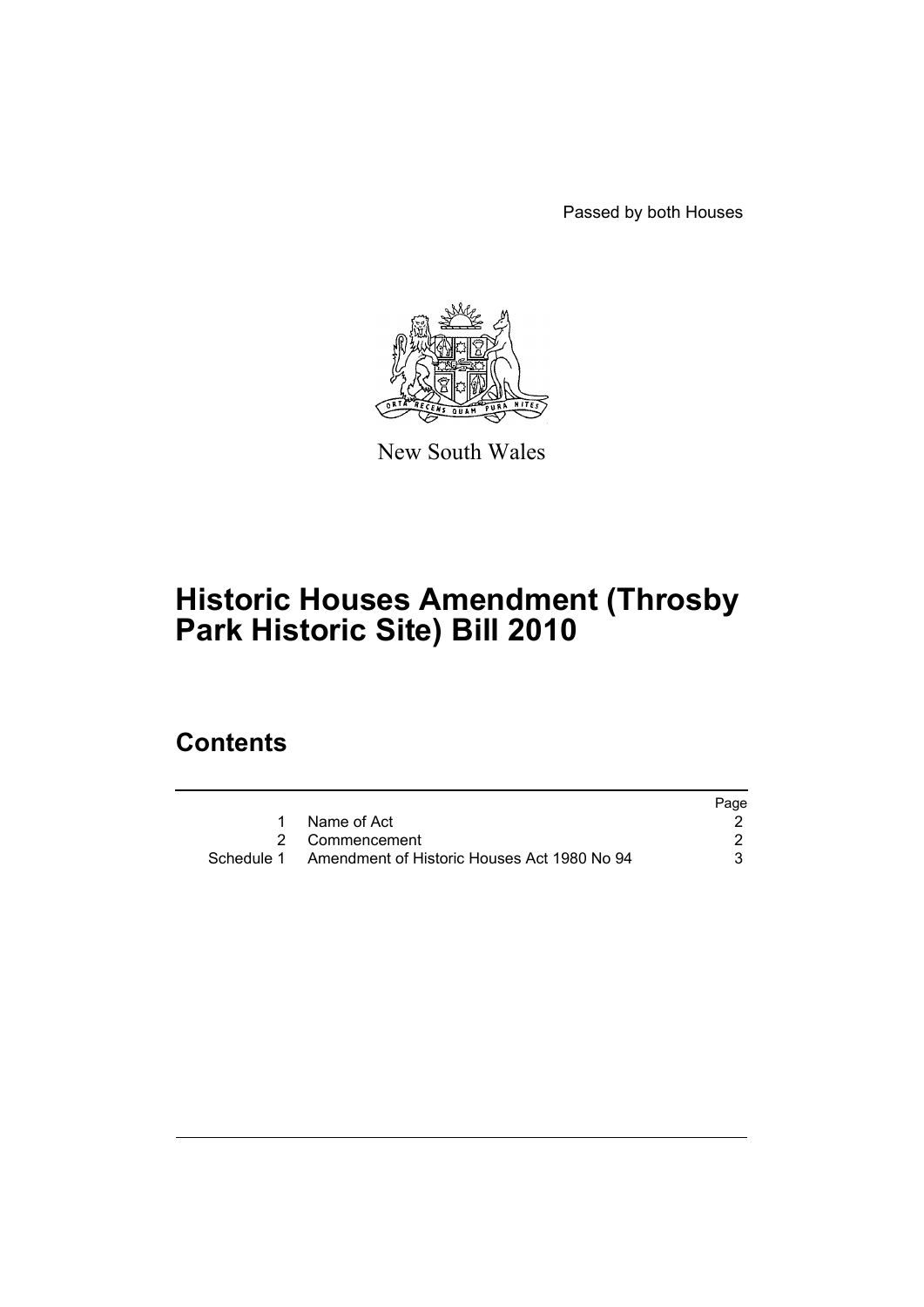Passed by both Houses



New South Wales

# **Historic Houses Amendment (Throsby Park Historic Site) Bill 2010**

## **Contents**

|                                                        | Page |
|--------------------------------------------------------|------|
| 1 Name of Act                                          |      |
| 2 Commencement                                         |      |
| Schedule 1 Amendment of Historic Houses Act 1980 No 94 |      |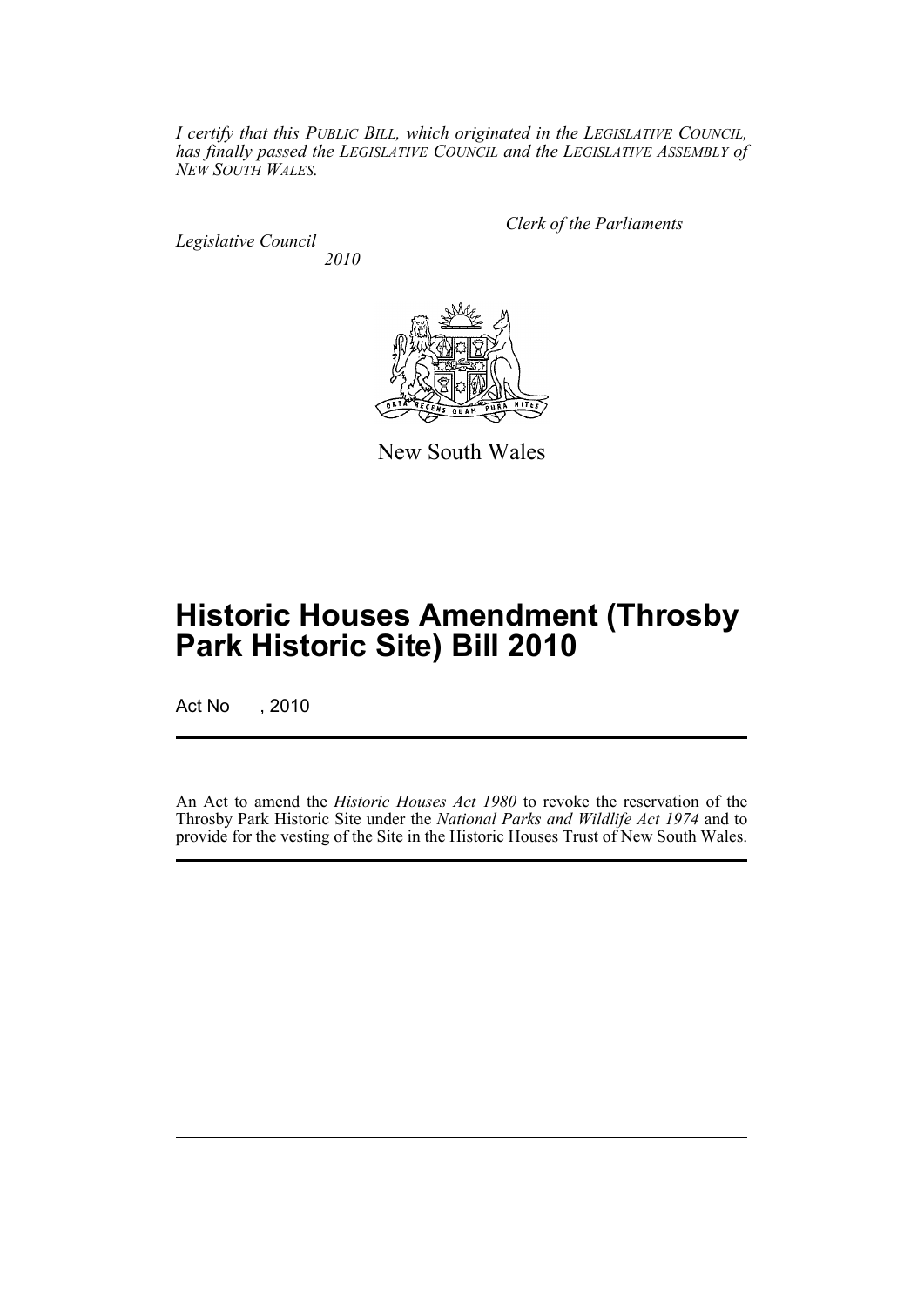*I certify that this PUBLIC BILL, which originated in the LEGISLATIVE COUNCIL, has finally passed the LEGISLATIVE COUNCIL and the LEGISLATIVE ASSEMBLY of NEW SOUTH WALES.*

*Legislative Council 2010* *Clerk of the Parliaments*



New South Wales

## **Historic Houses Amendment (Throsby Park Historic Site) Bill 2010**

Act No , 2010

An Act to amend the *Historic Houses Act 1980* to revoke the reservation of the Throsby Park Historic Site under the *National Parks and Wildlife Act 1974* and to provide for the vesting of the Site in the Historic Houses Trust of New South Wales.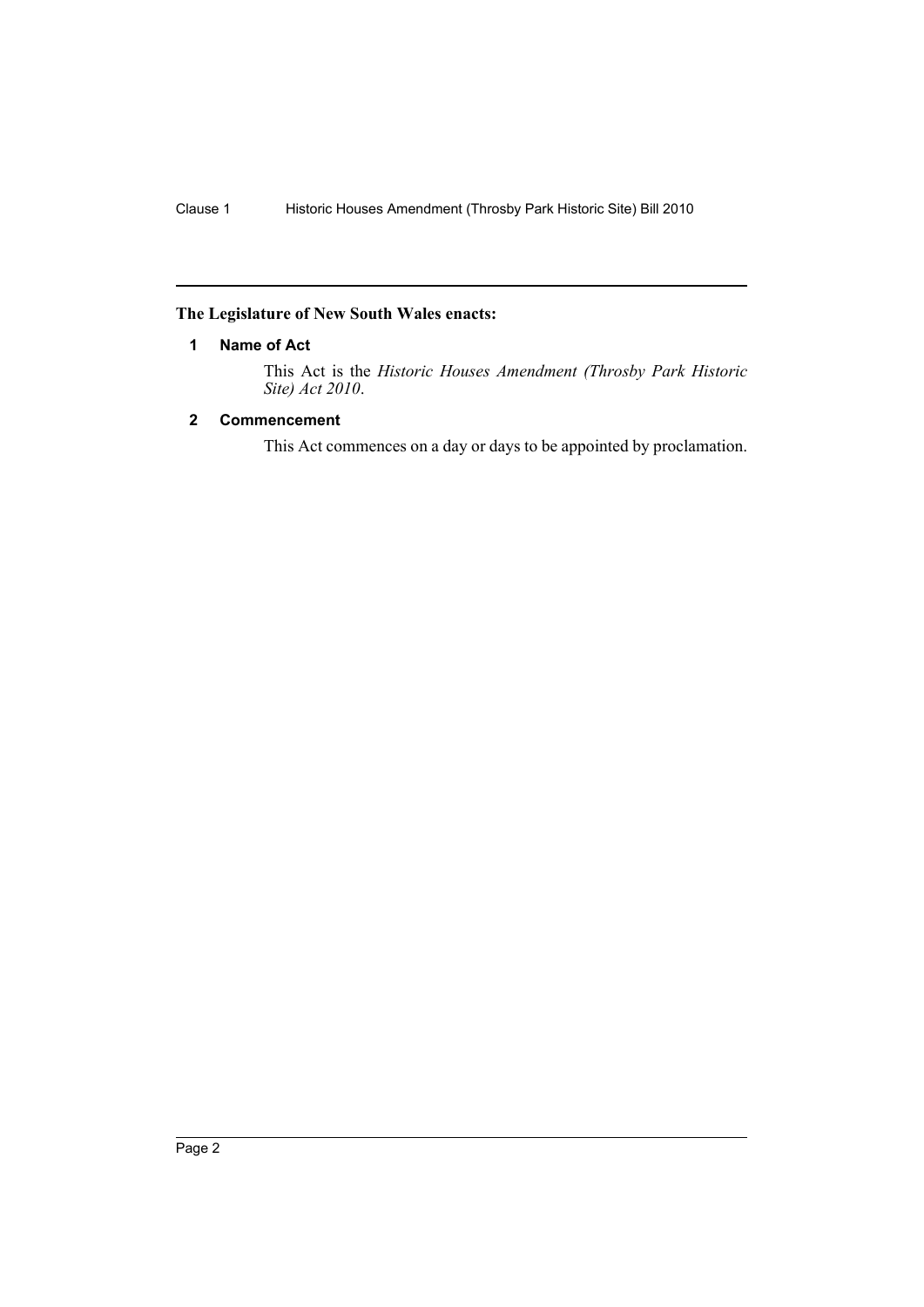### <span id="page-3-0"></span>**The Legislature of New South Wales enacts:**

#### **1 Name of Act**

This Act is the *Historic Houses Amendment (Throsby Park Historic Site) Act 2010*.

#### <span id="page-3-1"></span>**2 Commencement**

This Act commences on a day or days to be appointed by proclamation.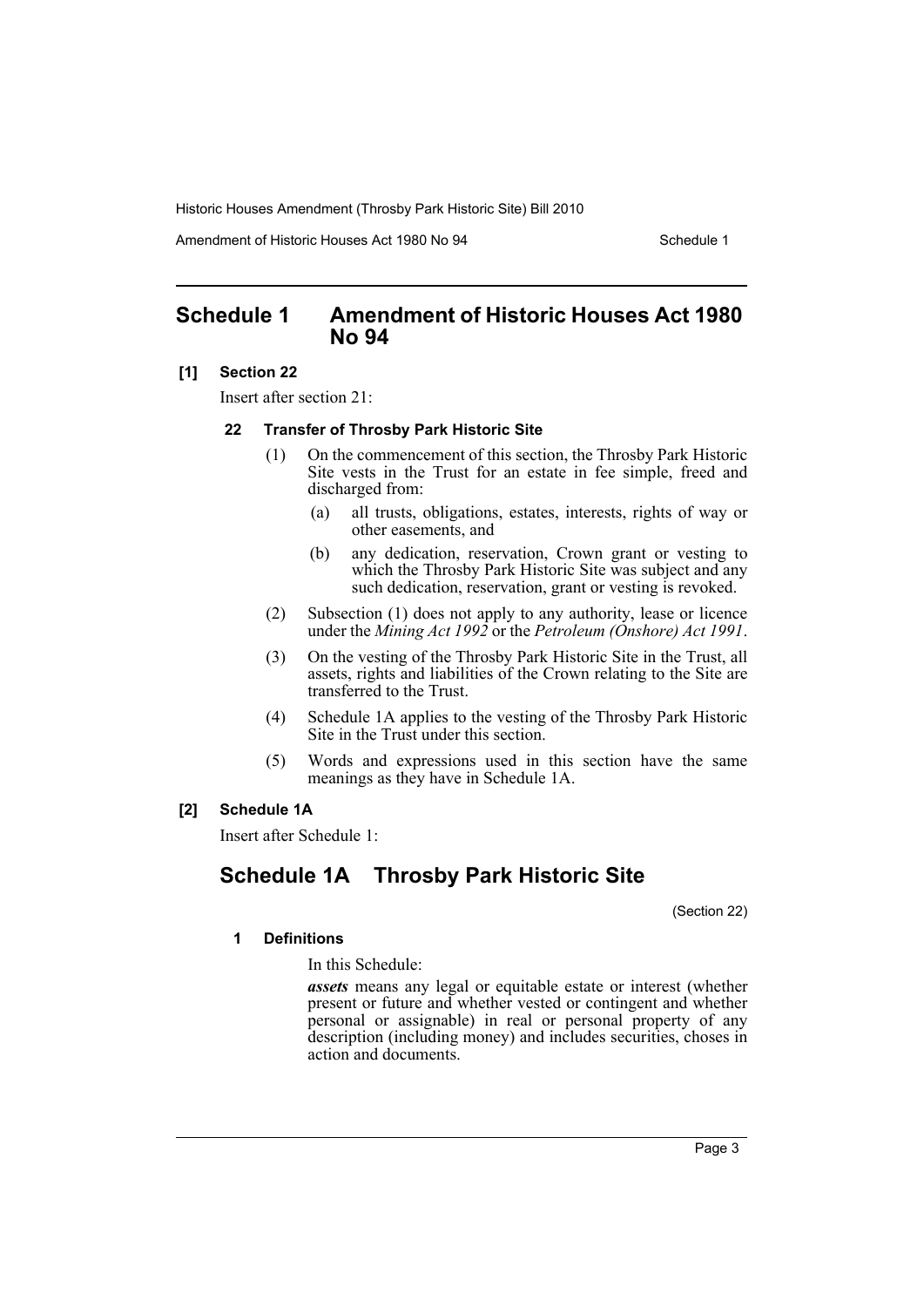Amendment of Historic Houses Act 1980 No 94 Schedule 1

### <span id="page-4-0"></span>**Schedule 1 Amendment of Historic Houses Act 1980 No 94**

#### **[1] Section 22**

Insert after section 21:

#### **22 Transfer of Throsby Park Historic Site**

- (1) On the commencement of this section, the Throsby Park Historic Site vests in the Trust for an estate in fee simple, freed and discharged from:
	- (a) all trusts, obligations, estates, interests, rights of way or other easements, and
	- (b) any dedication, reservation, Crown grant or vesting to which the Throsby Park Historic Site was subject and any such dedication, reservation, grant or vesting is revoked.
- (2) Subsection (1) does not apply to any authority, lease or licence under the *Mining Act 1992* or the *Petroleum (Onshore) Act 1991*.
- (3) On the vesting of the Throsby Park Historic Site in the Trust, all assets, rights and liabilities of the Crown relating to the Site are transferred to the Trust.
- (4) Schedule 1A applies to the vesting of the Throsby Park Historic Site in the Trust under this section.
- (5) Words and expressions used in this section have the same meanings as they have in Schedule 1A.

#### **[2] Schedule 1A**

Insert after Schedule 1:

## **Schedule 1A Throsby Park Historic Site**

(Section 22)

#### **1 Definitions**

In this Schedule:

*assets* means any legal or equitable estate or interest (whether present or future and whether vested or contingent and whether personal or assignable) in real or personal property of any description (including money) and includes securities, choses in action and documents.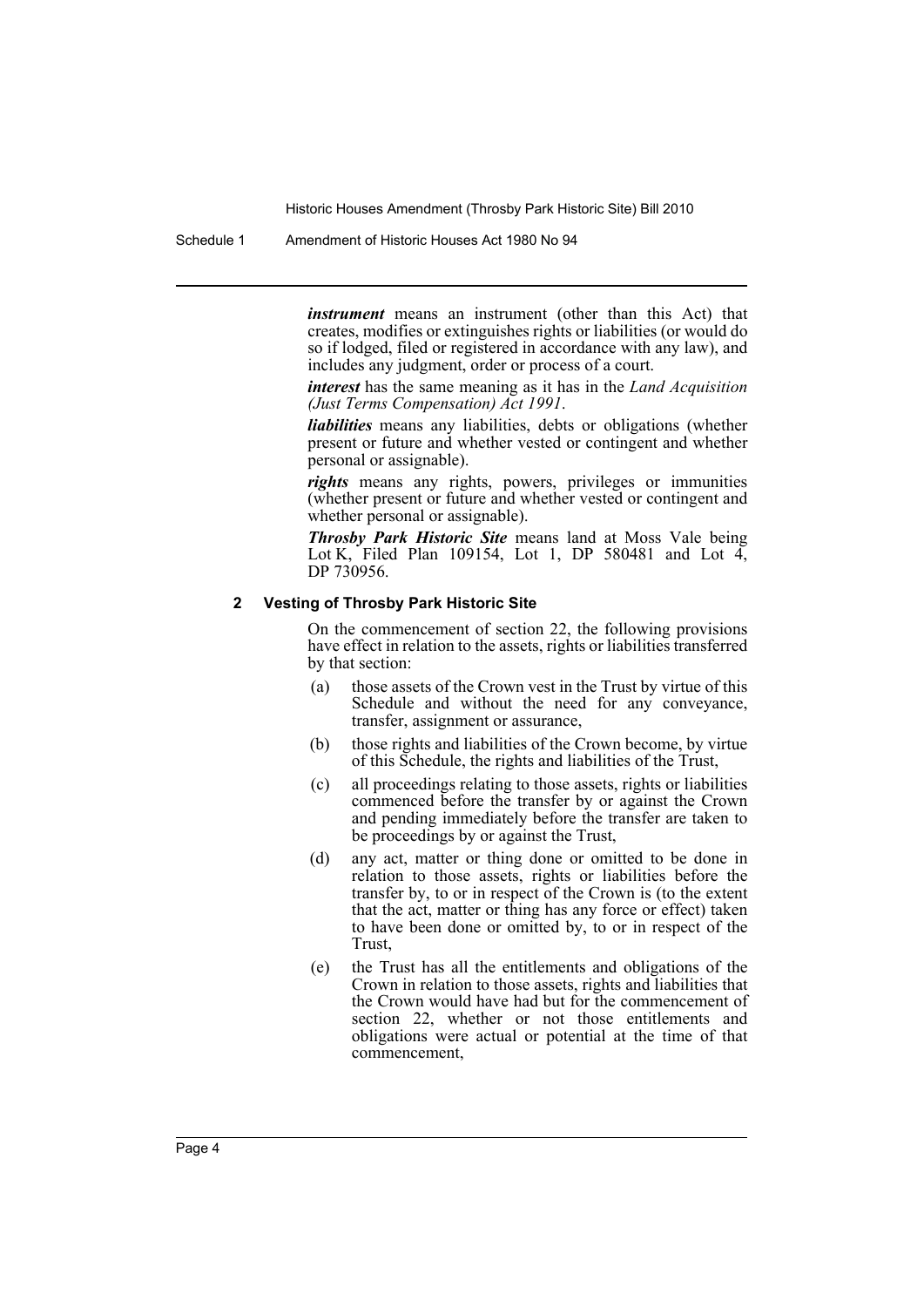Schedule 1 Amendment of Historic Houses Act 1980 No 94

*instrument* means an instrument (other than this Act) that creates, modifies or extinguishes rights or liabilities (or would do so if lodged, filed or registered in accordance with any law), and includes any judgment, order or process of a court.

*interest* has the same meaning as it has in the *Land Acquisition (Just Terms Compensation) Act 1991*.

*liabilities* means any liabilities, debts or obligations (whether present or future and whether vested or contingent and whether personal or assignable).

*rights* means any rights, powers, privileges or immunities (whether present or future and whether vested or contingent and whether personal or assignable).

*Throsby Park Historic Site* means land at Moss Vale being Lot K, Filed Plan 109154, Lot 1, DP 580481 and Lot  $\overline{4}$ , DP 730956.

#### **2 Vesting of Throsby Park Historic Site**

On the commencement of section 22, the following provisions have effect in relation to the assets, rights or liabilities transferred by that section:

- (a) those assets of the Crown vest in the Trust by virtue of this Schedule and without the need for any conveyance, transfer, assignment or assurance,
- (b) those rights and liabilities of the Crown become, by virtue of this Schedule, the rights and liabilities of the Trust,
- (c) all proceedings relating to those assets, rights or liabilities commenced before the transfer by or against the Crown and pending immediately before the transfer are taken to be proceedings by or against the Trust,
- (d) any act, matter or thing done or omitted to be done in relation to those assets, rights or liabilities before the transfer by, to or in respect of the Crown is (to the extent that the act, matter or thing has any force or effect) taken to have been done or omitted by, to or in respect of the Trust,
- (e) the Trust has all the entitlements and obligations of the Crown in relation to those assets, rights and liabilities that the Crown would have had but for the commencement of section 22, whether or not those entitlements and obligations were actual or potential at the time of that commencement,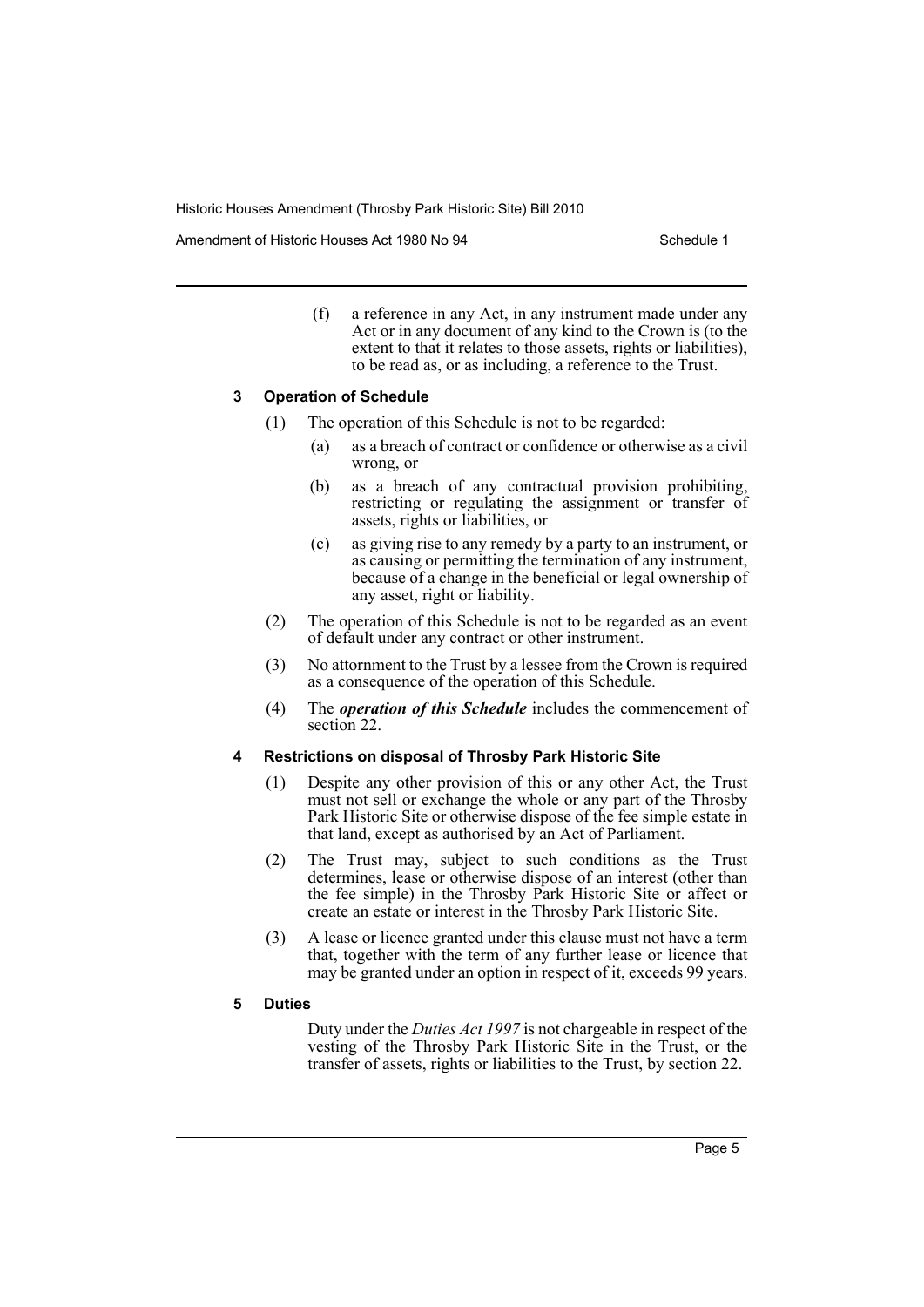Amendment of Historic Houses Act 1980 No 94 Schedule 1

(f) a reference in any Act, in any instrument made under any Act or in any document of any kind to the Crown is (to the extent to that it relates to those assets, rights or liabilities), to be read as, or as including, a reference to the Trust.

#### **3 Operation of Schedule**

- (1) The operation of this Schedule is not to be regarded:
	- (a) as a breach of contract or confidence or otherwise as a civil wrong, or
	- (b) as a breach of any contractual provision prohibiting, restricting or regulating the assignment or transfer of assets, rights or liabilities, or
	- (c) as giving rise to any remedy by a party to an instrument, or as causing or permitting the termination of any instrument, because of a change in the beneficial or legal ownership of any asset, right or liability.
- (2) The operation of this Schedule is not to be regarded as an event of default under any contract or other instrument.
- (3) No attornment to the Trust by a lessee from the Crown is required as a consequence of the operation of this Schedule.
- (4) The *operation of this Schedule* includes the commencement of section 22.

#### **4 Restrictions on disposal of Throsby Park Historic Site**

- (1) Despite any other provision of this or any other Act, the Trust must not sell or exchange the whole or any part of the Throsby Park Historic Site or otherwise dispose of the fee simple estate in that land, except as authorised by an Act of Parliament.
- (2) The Trust may, subject to such conditions as the Trust determines, lease or otherwise dispose of an interest (other than the fee simple) in the Throsby Park Historic Site or affect or create an estate or interest in the Throsby Park Historic Site.
- (3) A lease or licence granted under this clause must not have a term that, together with the term of any further lease or licence that may be granted under an option in respect of it, exceeds 99 years.

#### **5 Duties**

Duty under the *Duties Act 1997* is not chargeable in respect of the vesting of the Throsby Park Historic Site in the Trust, or the transfer of assets, rights or liabilities to the Trust, by section 22.